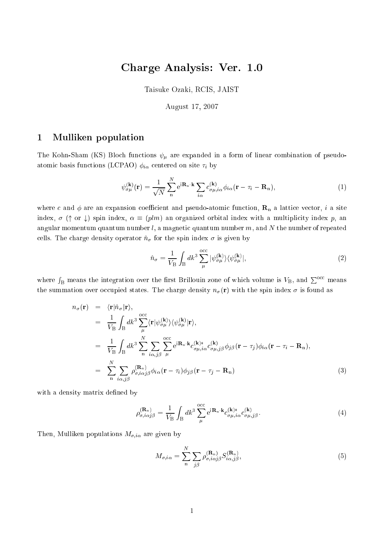# Charge Analysis: Ver. 1.0

Taisuke Ozaki, RCIS, JAIST

August 17, 2007

### 1Mulliken population

The Kohn-Sham (KS) Bloch functions  $\psi_{\mu}$  are expanded in a form of linear combination of pseudoatomic basis functions (LCPAO)  $\phi_{i\alpha}$  centered on site  $\tau_i$  by

$$
\psi_{\sigma\mu}^{(\mathbf{k})}(\mathbf{r}) = \frac{1}{\sqrt{N}} \sum_{n}^{N} e^{i\mathbf{R}_{n}\cdot\mathbf{k}} \sum_{i\alpha} c_{\sigma\mu,i\alpha}^{(\mathbf{k})} \phi_{i\alpha}(\mathbf{r} - \tau_{i} - \mathbf{R}_{n}),
$$
\n(1)

where c and  $\phi$  are an expansion coefficient and pseudo-atomic function,  $\mathbf{R}_n$  a lattice vector, i a site index,  $\sigma$  ( $\uparrow$  or  $\downarrow$ ) spin index,  $\alpha \equiv (plm)$  an organized orbital index with a multiplicity index p, an angular momentum quantum number  $l$ , a magnetic quantum number  $m$ , and  $N$  the number of repeated cells. The charge density operator  $\hat{n}_{\sigma}$  for the spin index  $\sigma$  is given by

$$
\hat{n}_{\sigma} = \frac{1}{V_{\rm B}} \int_{\rm B} dk^3 \sum_{\mu}^{\rm occ} |\psi_{\sigma\mu}^{(\mathbf{k})}\rangle \langle \psi_{\sigma\mu}^{(\mathbf{k})}|,\tag{2}
$$

where  $\int_{\text{B}}$  means the integration over the first Brillouin zone of which volume is  $V_{\text{B}}$ , and  $\sum^{\text{occ}}$  means the summation over occupied states. The charge density  $n_{\sigma}(\mathbf{r})$  with the spin index  $\sigma$  is found as

$$
n_{\sigma}(\mathbf{r}) = \langle \mathbf{r} | \hat{n}_{\sigma} | \mathbf{r} \rangle,
$$
  
\n
$$
= \frac{1}{V_{\rm B}} \int_{\rm B} dk^3 \sum_{\mu}^{\rm occ} \langle \mathbf{r} | \psi_{\sigma\mu}^{(\mathbf{k})} \rangle \langle \psi_{\sigma\mu}^{(\mathbf{k})} | \mathbf{r} \rangle,
$$
  
\n
$$
= \frac{1}{V_{\rm B}} \int_{\rm B} dk^3 \sum_{\substack{n} \ n}^N \sum_{i \alpha, j \beta} \sum_{\mu}^{\rm occ} e^{i \mathbf{R}_n \cdot \mathbf{k}} c_{\sigma\mu, i\alpha}^{(\mathbf{k})*} c_{\sigma\mu, j\beta}^{(\mathbf{k})} \phi_{j\beta}(\mathbf{r} - \tau_j) \phi_{i\alpha}(\mathbf{r} - \tau_i - \mathbf{R}_n),
$$
  
\n
$$
= \sum_{\substack{n} \ n}^N \sum_{i \alpha, j \beta} \rho_{\sigma, i\alpha j\beta}^{(\mathbf{R}_n)} \phi_{i\alpha}(\mathbf{r} - \tau_i) \phi_{j\beta}(\mathbf{r} - \tau_j - \mathbf{R}_n)
$$
(3)

with a density matrix defined by

$$
\rho_{\sigma,i\alpha j\beta}^{(\mathbf{R}_{\mathrm{n}})} = \frac{1}{V_{\mathrm{B}}} \int_{\mathrm{B}} dk^3 \sum_{\mu}^{\mathrm{occ}} e^{i\mathbf{R}_{\mathrm{n}} \cdot \mathbf{k}} c_{\sigma\mu,i\alpha}^{(\mathbf{k})*} c_{\sigma\mu,j\beta}^{(\mathbf{k})}.
$$
\n(4)

Then, Mulliken populations  $M_{\sigma,i\alpha}$  are given by

$$
M_{\sigma,i\alpha} = \sum_{n}^{N} \sum_{j\beta} \rho_{\sigma,i\alpha j\beta}^{(\mathbf{R}_{n})} S_{i\alpha,j\beta}^{(\mathbf{R}_{n})},
$$
\n(5)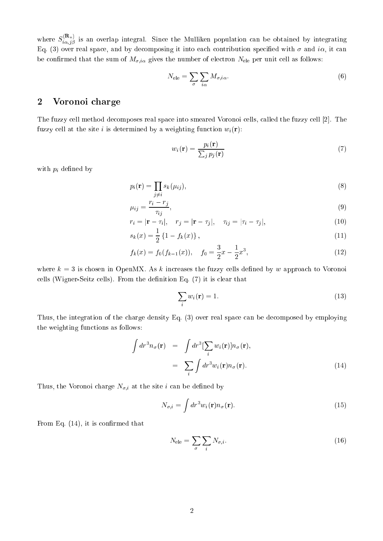where  $S_{i\alpha,\beta}^{(-\alpha)}$  is an overlap integral. Since the Mulliken population can be obtained by integrating Eq. (3) over real space, and by decomposing it into each contribution specified with  $\sigma$  and i $\alpha$ , it can be confirmed that the sum of  $M_{\sigma,i\alpha}$  gives the number of electron  $N_{\text{ele}}$  per unit cell as follows:

$$
N_{\text{ele}} = \sum_{\sigma} \sum_{i\alpha} M_{\sigma,i\alpha}.
$$
 (6)

#### 2Voronoi harge

The fuzzy cell method decomposes real space into smeared Voronoi cells, called the fuzzy cell [2]. The fuzzy cell at the site i is determined by a weighting function  $w_i(\mathbf{r})$ :

$$
w_i(\mathbf{r}) = \frac{p_i(\mathbf{r})}{\sum_j p_j(\mathbf{r})}
$$
\n(7)

with  $p_i$  defined by

$$
p_i(\mathbf{r}) = \prod_{j \neq i} s_k(\mu_{ij}),\tag{8}
$$

$$
\mu_{ij} = \frac{r_i - r_j}{\tau_{ij}},\tag{9}
$$

$$
r_i = |\mathbf{r} - \tau_i|, \quad r_j = |\mathbf{r} - \tau_j|, \quad \tau_{ij} = |\tau_i - \tau_j|,
$$
\n
$$
(10)
$$

$$
s_k(x) = \frac{1}{2} \left\{ 1 - f_k(x) \right\},\tag{11}
$$

$$
f_k(x) = f_0(f_{k-1}(x)), \quad f_0 = \frac{3}{2}x - \frac{1}{2}x^3,
$$
\n(12)

where  $k = 3$  is chosen in OpenMX. As k increases the fuzzy cells defined by w approach to Voronoi cells (Wigner-Seitz cells). From the definition Eq. (7) it is clear that

$$
\sum_{i} w_i(\mathbf{r}) = 1. \tag{13}
$$

Thus, the integration of the charge density Eq. (3) over real space can be decomposed by employing the weighting fun
tions as follows:

$$
\int dr^3 n_{\sigma}(\mathbf{r}) = \int dr^3 [\sum_i w_i(\mathbf{r})] n_{\sigma}(\mathbf{r}),
$$
\n
$$
= \sum_i \int dr^3 w_i(\mathbf{r}) n_{\sigma}(\mathbf{r}).
$$
\n(14)

Thus, the Voronoi charge  $N_{\sigma,i}$  at the site i can be defined by

$$
N_{\sigma,i} = \int dr^3 w_i(\mathbf{r}) n_{\sigma}(\mathbf{r}). \tag{15}
$$

From Eq.  $(14)$ , it is confirmed that

$$
N_{\text{ele}} = \sum_{\sigma} \sum_{i} N_{\sigma, i}.
$$
 (16)